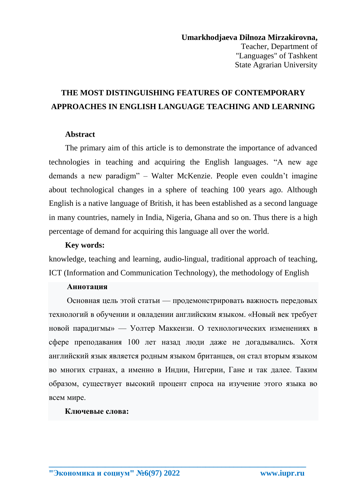# **THE MOST DISTINGUISHING FEATURES OF CONTEMPORARY APPROACHES IN ENGLISH LANGUAGE TEACHING AND LEARNING**

## **Abstract**

The primary aim of this article is to demonstrate the importance of advanced technologies in teaching and acquiring the English languages. "A new age demands a new paradigm" – Walter McKenzie. People even couldn't imagine about technological changes in a sphere of teaching 100 years ago. Although English is a native language of British, it has been established as a second language in many countries, namely in India, Nigeria, Ghana and so on. Thus there is a high percentage of demand for acquiring this language all over the world.

## **Key words:**

knowledge, teaching and learning, audio-lingual, traditional approach of teaching, ICT (Information and Communication Technology), the methodology of English

## **Аннотация**

 Основная цель этой статьи — продемонстрировать важность передовых технологий в обучении и овладении английским языком. «Новый век требует новой парадигмы» — Уолтер Маккензи. О технологических изменениях в сфере преподавания 100 лет назад люди даже не догадывались. Хотя английский язык является родным языком британцев, он стал вторым языком во многих странах, а именно в Индии, Нигерии, Гане и так далее. Таким образом, существует высокий процент спроса на изучение этого языка во всем мире.

**\_\_\_\_\_\_\_\_\_\_\_\_\_\_\_\_\_\_\_\_\_\_\_\_\_\_\_\_\_\_\_\_\_\_\_\_\_\_\_\_\_\_\_\_\_\_\_\_\_\_\_\_\_\_\_\_\_\_\_\_\_\_\_\_**

#### **Ключевые слова:**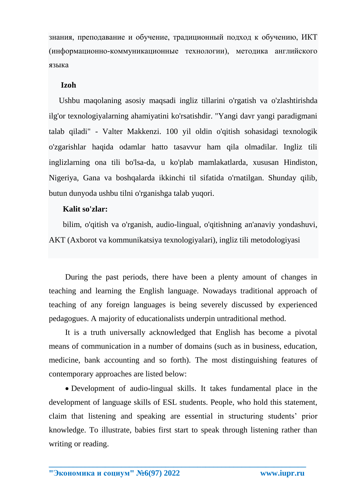знания, преподавание и обучение, традиционный подход к обучению, ИКТ (информационно-коммуникационные технологии), методика английского языка

# **Izoh**

 Ushbu maqolaning asosiy maqsadi ingliz tillarini o'rgatish va o'zlashtirishda ilg'or texnologiyalarning ahamiyatini ko'rsatishdir. "Yangi davr yangi paradigmani talab qiladi" - Valter Makkenzi. 100 yil oldin o'qitish sohasidagi texnologik o'zgarishlar haqida odamlar hatto tasavvur ham qila olmadilar. Ingliz tili inglizlarning ona tili bo'lsa-da, u ko'plab mamlakatlarda, xususan Hindiston, Nigeriya, Gana va boshqalarda ikkinchi til sifatida o'rnatilgan. Shunday qilib, butun dunyoda ushbu tilni o'rganishga talab yuqori.

# **Kalit so'zlar:**

 bilim, o'qitish va o'rganish, audio-lingual, o'qitishning an'anaviy yondashuvi, AKT (Axborot va kommunikatsiya texnologiyalari), ingliz tili metodologiyasi

During the past periods, there have been a plenty amount of changes in teaching and learning the English language. Nowadays traditional approach of teaching of any foreign languages is being severely discussed by experienced pedagogues. A majority of educationalists underpin untraditional method.

It is a truth universally acknowledged that English has become a pivotal means of communication in a number of domains (such as in business, education, medicine, bank accounting and so forth). The most distinguishing features of contemporary approaches are listed below:

 Development of audio-lingual skills. It takes fundamental place in the development of language skills of ESL students. People, who hold this statement, claim that listening and speaking are essential in structuring students' prior knowledge. To illustrate, babies first start to speak through listening rather than writing or reading.

**\_\_\_\_\_\_\_\_\_\_\_\_\_\_\_\_\_\_\_\_\_\_\_\_\_\_\_\_\_\_\_\_\_\_\_\_\_\_\_\_\_\_\_\_\_\_\_\_\_\_\_\_\_\_\_\_\_\_\_\_\_\_\_\_**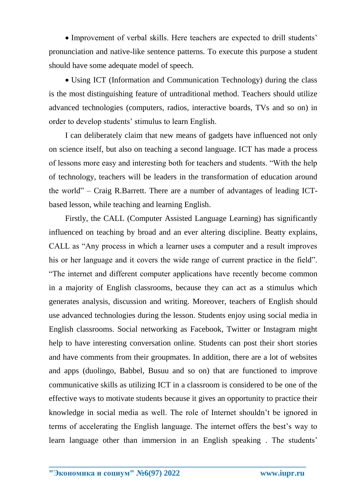• Improvement of verbal skills. Here teachers are expected to drill students' pronunciation and native-like sentence patterns. To execute this purpose a student should have some adequate model of speech.

• Using ICT (Information and Communication Technology) during the class is the most distinguishing feature of untraditional method. Teachers should utilize advanced technologies (computers, radios, interactive boards, TVs and so on) in order to develop students' stimulus to learn English.

I can deliberately claim that new means of gadgets have influenced not only on science itself, but also on teaching a second language. ICT has made a process of lessons more easy and interesting both for teachers and students. "With the help of technology, teachers will be leaders in the transformation of education around the world" – Craig R.Barrett. There are a number of advantages of leading ICTbased lesson, while teaching and learning English.

Firstly, the CALL (Computer Assisted Language Learning) has significantly influenced on teaching by broad and an ever altering discipline. Beatty explains, CALL as "Any process in which a learner uses a computer and a result improves his or her language and it covers the wide range of current practice in the field". "The internet and different computer applications have recently become common in a majority of English classrooms, because they can act as a stimulus which generates analysis, discussion and writing. Moreover, teachers of English should use advanced technologies during the lesson. Students enjoy using social media in English classrooms. Social networking as Facebook, Twitter or Instagram might help to have interesting conversation online. Students can post their short stories and have comments from their groupmates. In addition, there are a lot of websites and apps (duolingo, Babbel, Busuu and so on) that are functioned to improve communicative skills as utilizing ICT in a classroom is considered to be one of the effective ways to motivate students because it gives an opportunity to practice their knowledge in social media as well. The role of Internet shouldn't be ignored in terms of accelerating the English language. The internet offers the best's way to learn language other than immersion in an English speaking . The students'

**\_\_\_\_\_\_\_\_\_\_\_\_\_\_\_\_\_\_\_\_\_\_\_\_\_\_\_\_\_\_\_\_\_\_\_\_\_\_\_\_\_\_\_\_\_\_\_\_\_\_\_\_\_\_\_\_\_\_\_\_\_\_\_\_**